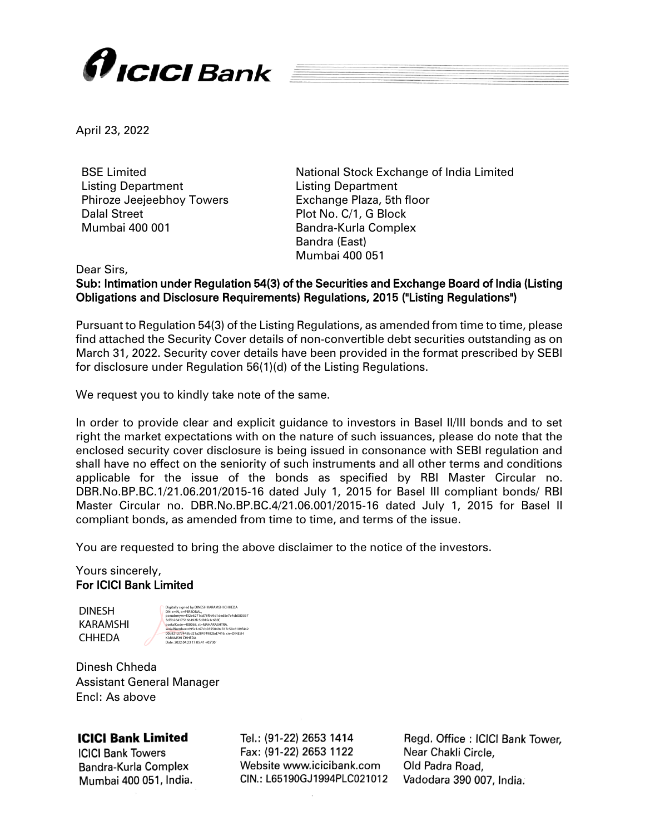

April 23, 2022

BSE Limited Listing Department Phiroze Jeejeebhoy Towers Dalal Street Mumbai 400 001

National Stock Exchange of India Limited Listing Department Exchange Plaza, 5th floor Plot No. C/1, G Block Bandra-Kurla Complex Bandra (East) Mumbai 400 051

Dear Sirs,

Sub: Intimation under Regulation 54(3) of the Securities and Exchange Board of India (Listing Obligations and Disclosure Requirements) Regulations, 2015 ("Listing Regulations")

Pursuant to Regulation 54(3) of the Listing Regulations, as amended from time to time, please find attached the Security Cover details of non-convertible debt securities outstanding as on March 31, 2022. Security cover details have been provided in the format prescribed by SEBI for disclosure under Regulation 56(1)(d) of the Listing Regulations.

We request you to kindly take note of the same.

In order to provide clear and explicit guidance to investors in Basel II/III bonds and to set right the market expectations with on the nature of such issuances, please do note that the enclosed security cover disclosure is being issued in consonance with SEBI regulation and shall have no effect on the seniority of such instruments and all other terms and conditions applicable for the issue of the bonds as specified by RBI Master Circular no. DBR.No.BP.BC.1/21.06.201/2015-16 dated July 1, 2015 for Basel III compliant bonds/ RBI Master Circular no. DBR.No.BP.BC.4/21.06.001/2015-16 dated July 1, 2015 for Basel II compliant bonds, as amended from time to time, and terms of the issue.

You are requested to bring the above disclaimer to the notice of the investors.

## Yours sincerely, For ICICI Bank Limited

DINESH KARAMSHI CHHEDA

| Digitally signed by DINESH KARAMSHI CHHEDA     |
|------------------------------------------------|
| DN: c=IN. o=PERSONAL.                          |
| pseudonym=f32e6271cd78f9e9d1ded5e7e4cb080367   |
| 3d3b264175166492fc5d01fe1c680f.                |
| postalCode=400068.st=MAHARASHTRA.              |
| serialNumber=695c1c67cb0355049e7d7c50c6189f442 |
| 00b821277445bd21a28474982bd7416. cn=DINESH     |
| <b>KARAMSHI CHHEDA</b>                         |
| Date: 2022 04:23 17:05:41 +05'30"              |

Dinesh Chheda Assistant General Manager Encl: As above

## **ICICI Bank Limited**

**ICICI Bank Towers** Bandra-Kurla Complex Mumbai 400 051, India.

Tel.: (91-22) 2653 1414 Fax: (91-22) 2653 1122 Website www.icicibank.com CIN.: L65190GJ1994PLC021012

Regd. Office: ICICI Bank Tower, Near Chakli Circle. Old Padra Road, Vadodara 390 007, India.